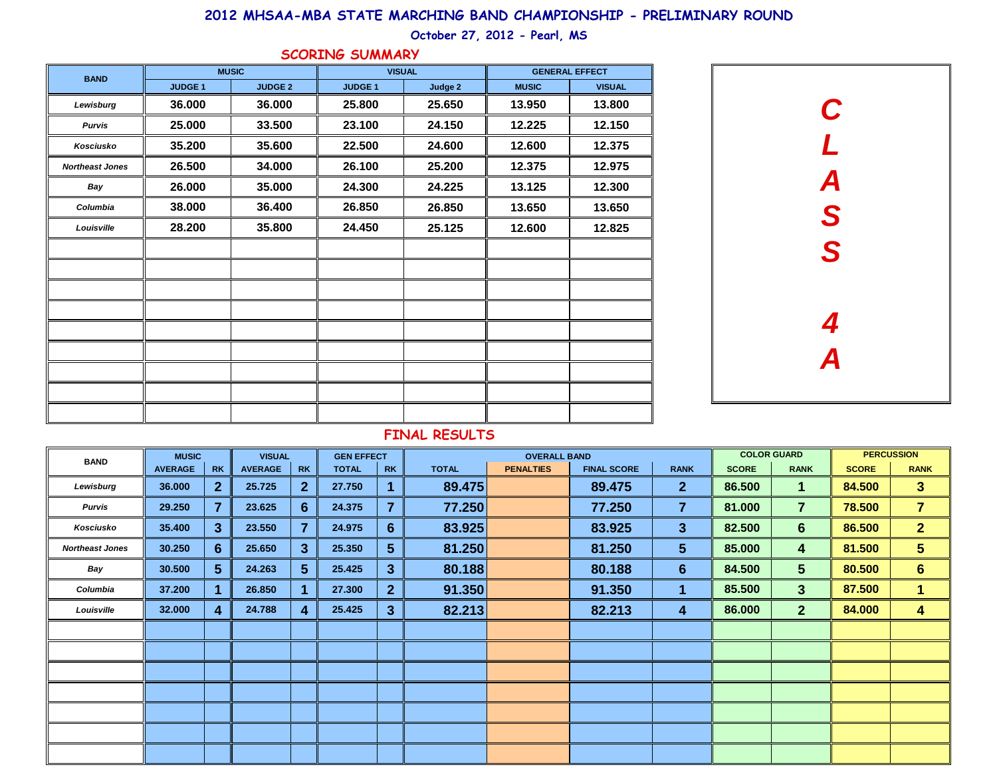#### **2012 MHSAA-MBA STATE MARCHING BAND CHAMPIONSHIP - PRELIMINARY ROUND**

### **October 27, 2012 - Pearl, MS**

| <b>SCORING SUMMARY</b> |                |                |               |         |                       |               |  |  |  |  |  |  |  |
|------------------------|----------------|----------------|---------------|---------|-----------------------|---------------|--|--|--|--|--|--|--|
| <b>BAND</b>            |                | <b>MUSIC</b>   | <b>VISUAL</b> |         | <b>GENERAL EFFECT</b> |               |  |  |  |  |  |  |  |
|                        | <b>JUDGE 1</b> | <b>JUDGE 2</b> | <b>JUDGE1</b> | Judge 2 | <b>MUSIC</b>          | <b>VISUAL</b> |  |  |  |  |  |  |  |
| Lewisburg              | 36.000         | 36.000         | 25.800        | 25.650  | 13.950                | 13.800        |  |  |  |  |  |  |  |
| <b>Purvis</b>          | 25.000         | 33.500         | 23.100        | 24.150  | 12.225                | 12.150        |  |  |  |  |  |  |  |
| Kosciusko              | 35.200         | 35.600         | 22.500        | 24.600  | 12.600                | 12.375        |  |  |  |  |  |  |  |
| <b>Northeast Jones</b> | 26.500         | 34.000         | 26.100        | 25.200  | 12.375                | 12.975        |  |  |  |  |  |  |  |
| Bay                    | 26.000         | 35.000         | 24.300        | 24.225  | 13.125                | 12.300        |  |  |  |  |  |  |  |
| Columbia               | 38.000         | 36.400         | 26.850        | 26.850  | 13.650                | 13.650        |  |  |  |  |  |  |  |
| Louisville             | 28.200         | 35.800         | 24.450        | 25.125  | 12.600                | 12.825        |  |  |  |  |  |  |  |
|                        |                |                |               |         |                       |               |  |  |  |  |  |  |  |
|                        |                |                |               |         |                       |               |  |  |  |  |  |  |  |
|                        |                |                |               |         |                       |               |  |  |  |  |  |  |  |
|                        |                |                |               |         |                       |               |  |  |  |  |  |  |  |
|                        |                |                |               |         |                       |               |  |  |  |  |  |  |  |
|                        |                |                |               |         |                       |               |  |  |  |  |  |  |  |
|                        |                |                |               |         |                       |               |  |  |  |  |  |  |  |
|                        |                |                |               |         |                       |               |  |  |  |  |  |  |  |
|                        |                |                |               |         |                       |               |  |  |  |  |  |  |  |



#### **FINAL RESULTS**

| <b>BAND</b>            | <b>MUSIC</b><br><b>VISUAL</b> |                 |                |                  | <b>GEN EFFECT</b> |                |              | <b>OVERALL BAND</b> |                    |                | <b>COLOR GUARD</b> | <b>PERCUSSION</b> |              |                |
|------------------------|-------------------------------|-----------------|----------------|------------------|-------------------|----------------|--------------|---------------------|--------------------|----------------|--------------------|-------------------|--------------|----------------|
|                        | <b>AVERAGE</b>                | <b>RK</b>       | <b>AVERAGE</b> | <b>RK</b>        | <b>TOTAL</b>      | <b>RK</b>      | <b>TOTAL</b> | <b>PENALTIES</b>    | <b>FINAL SCORE</b> | <b>RANK</b>    | <b>SCORE</b>       | <b>RANK</b>       | <b>SCORE</b> | <b>RANK</b>    |
| Lewisburg              | 36.000                        | $\mathbf{2}$    | 25.725         | $\overline{2}$   | 27.750            |                | 89.475       |                     | 89.475             | $\mathbf{2}$   | 86.500             | 1.                | 84.500       | 3 <sup>5</sup> |
| Purvis                 | 29.250                        | $\overline{7}$  | 23.625         | $6 \overline{6}$ | 24.375            | $\overline{7}$ | 77.250       |                     | 77.250             | $\overline{7}$ | 81.000             | $\overline{7}$    | 78.500       | $\overline{7}$ |
| Kosciusko              | 35.400                        | 3               | 23.550         | 7                | 24.975            | $6\phantom{1}$ | 83.925       |                     | 83.925             | $\mathbf{3}$   | 82.500             | 6 <sup>1</sup>    | 86.500       | 2 <sup>1</sup> |
| <b>Northeast Jones</b> | 30.250                        | 6               | 25.650         | 3                | 25.350            | 5 <sup>5</sup> | 81.250       |                     | 81.250             | 5 <sup>5</sup> | 85.000             | 4                 | 81.500       | 5 <sup>5</sup> |
| Bay                    | 30.500                        | $5\phantom{.0}$ | 24.263         | $5^{\circ}$      | 25.425            | 3 <sup>5</sup> | 80.188       |                     | 80.188             | $6^{\circ}$    | 84.500             | $5\overline{)}$   | 80.500       | $6\phantom{1}$ |
| Columbia               | 37.200                        | 1               | 26.850         |                  | 27.300            | $\mathbf{2}$   | 91.350       |                     | 91.350             | 1              | 85.500             | $\mathbf{3}$      | 87.500       | 1.             |
| Louisville             | 32.000                        | 4               | 24.788         | 4                | 25.425            | 3 <sup>2</sup> | 82.213       |                     | 82.213             | 4              | 86.000             | 2 <sup>1</sup>    | 84.000       | 4              |
|                        |                               |                 |                |                  |                   |                |              |                     |                    |                |                    |                   |              |                |
|                        |                               |                 |                |                  |                   |                |              |                     |                    |                |                    |                   |              |                |
|                        |                               |                 |                |                  |                   |                |              |                     |                    |                |                    |                   |              |                |
|                        |                               |                 |                |                  |                   |                |              |                     |                    |                |                    |                   |              |                |
|                        |                               |                 |                |                  |                   |                |              |                     |                    |                |                    |                   |              |                |
|                        |                               |                 |                |                  |                   |                |              |                     |                    |                |                    |                   |              |                |
|                        |                               |                 |                |                  |                   |                |              |                     |                    |                |                    |                   |              |                |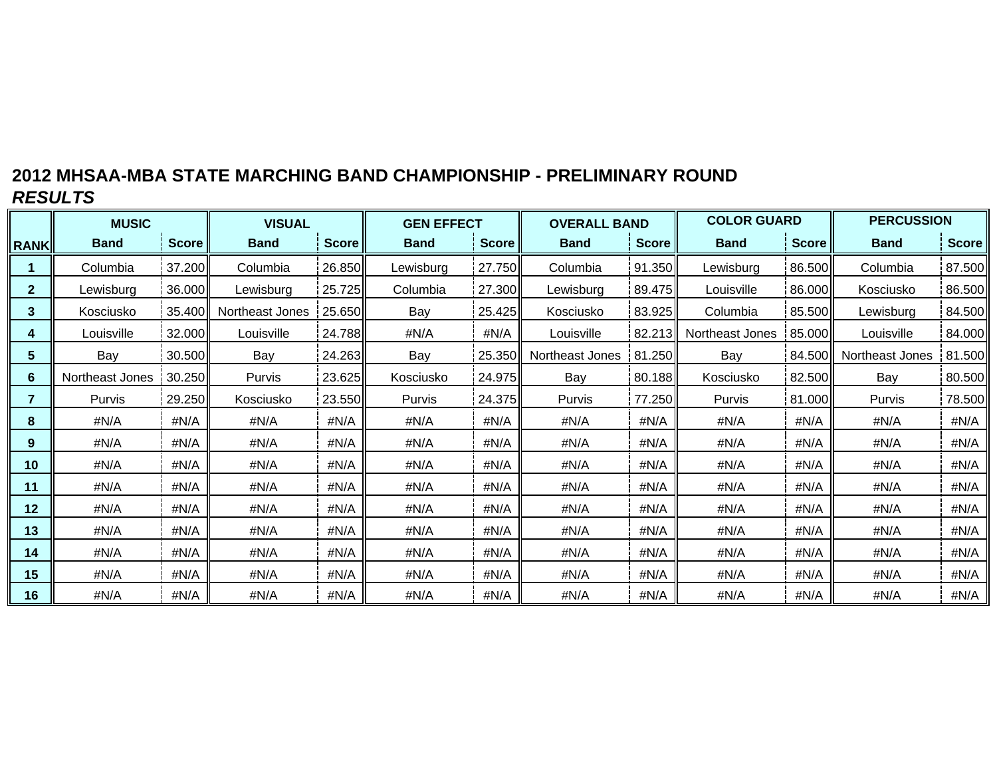# **2012 MHSAA-MBA STATE MARCHING BAND CHAMPIONSHIP - PRELIMINARY ROUND** *RESULTS*

|              | <b>MUSIC</b>    |              | <b>VISUAL</b>   |        | <b>GEN EFFECT</b> |              | <b>OVERALL BAND</b> |              | <b>COLOR GUARD</b> |              | <b>PERCUSSION</b> |              |  |
|--------------|-----------------|--------------|-----------------|--------|-------------------|--------------|---------------------|--------------|--------------------|--------------|-------------------|--------------|--|
| <b>RANK</b>  | <b>Band</b>     | <b>Score</b> | <b>Band</b>     | Score  | <b>Band</b>       | <b>Score</b> | <b>Band</b>         | <b>Score</b> | <b>Band</b>        | <b>Score</b> | <b>Band</b>       | <b>Score</b> |  |
|              | Columbia        | 37.200       | Columbia        | 26.850 | Lewisburg         | 27.750       | Columbia            | 91.350       | Lewisburg          | 86.500       | Columbia          | 87.500       |  |
| $\mathbf{2}$ | Lewisburg       | 36.000       | Lewisburg       | 25.725 | Columbia          | 27.300       | Lewisburg           | 89.475       | Louisville         | 86.000       | Kosciusko         | 86.500       |  |
| 3            | Kosciusko       | 35.400       | Northeast Jones | 25.650 | Bay               | 25.425       | Kosciusko           | 83.925       | Columbia           | 85.500       | Lewisburg         | 84.500       |  |
| 4            | Louisville      | 32.000       | Louisville      | 24.788 | #N/A              | #N/A         | Louisville          | 82.213       | Northeast Jones    | 85.000       | Louisville        | 84.000       |  |
| 5            | Bay             | 30.500       | Bay             | 24.263 | Bay               | 25.350       | Northeast Jones     | 81.250       | Bay                | 84.500       | Northeast Jones   | 81.500       |  |
| 6            | Northeast Jones | 30.250       | Purvis          | 23.625 | Kosciusko         | 24.975       | Bay                 | 80.188       | Kosciusko          | 82.500       | Bay               | 80.500       |  |
| 7            | Purvis          | 29.250       | Kosciusko       | 23.550 | Purvis            | 24.375       | Purvis              | 77.250       | Purvis             | 81.000       | Purvis            | 78.500       |  |
| 8            | #N/A            | #N/A         | #N/A            | #N/A   | #N/A              | #N/A         | #N/A                | #N/A         | #N/A               | #N/A         | #N/A              | #N/A         |  |
| 9            | #N/A            | #N/A         | #N/A            | #N/A   | #N/A              | #N/A         | #N/A                | #N/A         | #N/A               | #N/A         | #N/A              | #N/A         |  |
| 10           | #N/A            | #N/A         | #N/A            | #N/A   | #N/A              | #N/A         | #N/A                | #N/A         | #N/A               | #N/A         | #N/A              | #N/A         |  |
| 11           | #N/A            | #N/A         | #N/A            | #N/A   | #N/A              | #N/A         | #N/A                | #N/A         | #N/A               |              | #N/A              | #N/A         |  |
| 12           | #N/A            | #N/A         | #N/A            | #N/A   | #N/A              | #N/A         | #N/A                | #N/A         | #N/A               | #N/A         | #N/A              | #N/A         |  |
| 13           | #N/A            | #N/A         | #N/A            | #N/A   | #N/A              | #N/A         | #N/A                | #N/A         | #N/A               | #N/A         | #N/A              | #N/A         |  |
| 14           | #N/A            | #N/A         | #N/A            | #N/A   | #N/A              | #N/A         | #N/A                | #N/A         | #N/A               | #N/A         | #N/A              | #N/A         |  |
| 15           | #N/A            | #N/A         | #N/A            | #N/A   | #N/A              | #N/A         | #N/A                | #N/A         | #N/A               | #N/A         | #N/A              | #N/A         |  |
| 16           | #N/A            | #N/A         | #N/A            | #N/A   | #N/A              | #N/A         | #N/A                | #N/A         |                    | #N/A         | #N/A              | #N/A         |  |